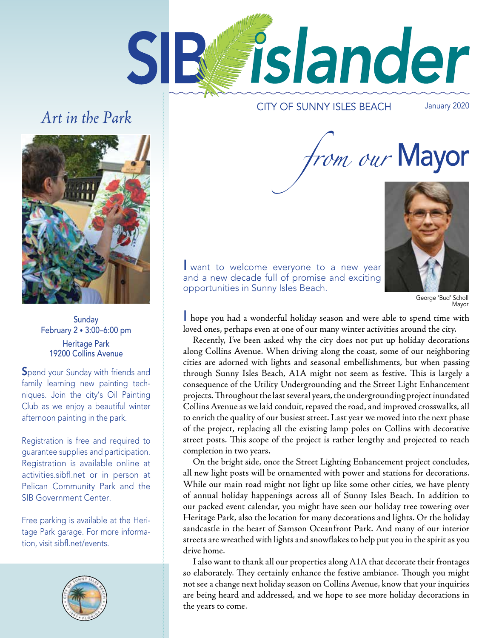

# Art in the Park

**CITY OF SUNNY ISLES BEACH** 

January 2020



**Sunday** February 2 • 3:00–6:00 pm Heritage Park 19200 Collins Avenue

Spend your Sunday with friends and family learning new painting techniques. Join the city's Oil Painting Club as we enjoy a beautiful winter afternoon painting in the park.

Registration is free and required to guarantee supplies and participation. Registration is available online at activities.sibfl.net or in person at Pelican Community Park and the SIB Government Center.

Free parking is available at the Heritage Park garage. For more information, visit sibfl.net/events.



from our Mayor



I want to welcome everyone to a new year and a new decade full of promise and exciting opportunities in Sunny Isles Beach.

George 'Bud' Scholl Mayor

I hope you had a wonderful holiday season and were able to spend time with loved ones, perhaps even at one of our many winter activities around the city.

Recently, I've been asked why the city does not put up holiday decorations along Collins Avenue. When driving along the coast, some of our neighboring cities are adorned with lights and seasonal embellishments, but when passing through Sunny Isles Beach, A1A might not seem as festive. This is largely a consequence of the Utility Undergrounding and the Street Light Enhancement projects. Throughout the last several years, the undergrounding project inundated Collins Avenue as we laid conduit, repaved the road, and improved crosswalks, all to enrich the quality of our busiest street. Last year we moved into the next phase of the project, replacing all the existing lamp poles on Collins with decorative street posts. This scope of the project is rather lengthy and projected to reach completion in two years.

On the bright side, once the Street Lighting Enhancement project concludes, all new light posts will be ornamented with power and stations for decorations. While our main road might not light up like some other cities, we have plenty of annual holiday happenings across all of Sunny Isles Beach. In addition to our packed event calendar, you might have seen our holiday tree towering over Heritage Park, also the location for many decorations and lights. Or the holiday sandcastle in the heart of Samson Oceanfront Park. And many of our interior streets are wreathed with lights and snowfakes to help put you in the spirit as you drive home.

I also want to thank all our properties along A1A that decorate their frontages so elaborately. They certainly enhance the festive ambiance. Though you might not see a change next holiday season on Collins Avenue, know that your inquiries are being heard and addressed, and we hope to see more holiday decorations in the years to come.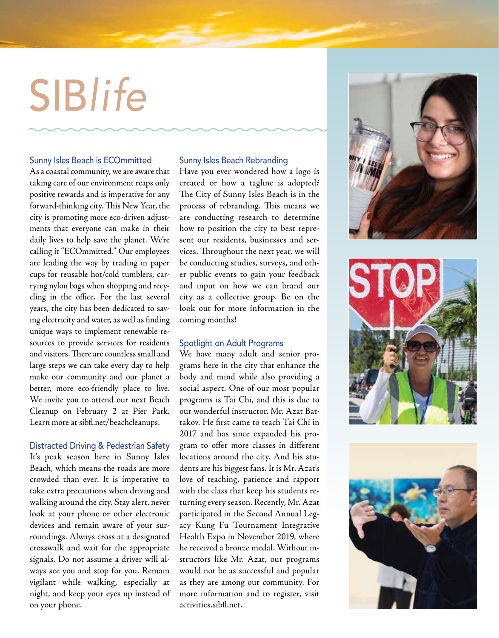# SIBlife

### Sunny Isles Beach is ECOmmitted

As a coastal community, we are aware that taking care of our environment reaps only positive rewards and is imperative for any forward-thinking city. This New Year, the city is promoting more eco-driven adjustments that everyone can make in their daily lives to help save the planet. We're calling it "ECOmmitted." Our employees are leading the way by trading in paper cups for reusable hot/cold tumblers, carrying nylon bags when shopping and recycling in the office. For the last several years, the city has been dedicated to saving electricity and water, as well as fnding unique ways to implement renewable resources to provide services for residents and visitors. There are countless small and large steps we can take every day to help make our community and our planet a better, more eco-friendly place to live. We invite you to attend our next Beach Cleanup on February 2 at Pier Park. Learn more at sibf.net/beachcleanups.

### Distracted Driving & Pedestrian Safety

It's peak season here in Sunny Isles Beach, which means the roads are more crowded than ever. It is imperative to take extra precautions when driving and walking around the city. Stay alert, never look at your phone or other electronic devices and remain aware of your surroundings. Always cross at a designated crosswalk and wait for the appropriate signals. Do not assume a driver will always see you and stop for you. Remain vigilant while walking, especially at night, and keep your eyes up instead of on your phone.

### Sunny Isles Beach Rebranding

Have you ever wondered how a logo is created or how a tagline is adopted? The City of Sunny Isles Beach is in the process of rebranding. This means we are conducting research to determine how to position the city to best represent our residents, businesses and services. Throughout the next year, we will be conducting studies, surveys, and other public events to gain your feedback and input on how we can brand our city as a collective group. Be on the look out for more information in the coming months!

### Spotlight on Adult Programs

We have many adult and senior programs here in the city that enhance the body and mind while also providing a social aspect. One of our most popular programs is Tai Chi, and this is due to our wonderful instructor, Mr. Azat Battakov. He frst came to teach Tai Chi in 2017 and has since expanded his program to ofer more classes in diferent locations around the city. And his students are his biggest fans. It is Mr. Azat's love of teaching, patience and rapport with the class that keep his students returning every season. Recently, Mr. Azat participated in the Second Annual Legacy Kung Fu Tournament Integrative Health Expo in November 2019, where he received a bronze medal. Without instructors like Mr. Azat, our programs would not be as successful and popular as they are among our community. For more information and to register, visit activities.sibf.net.





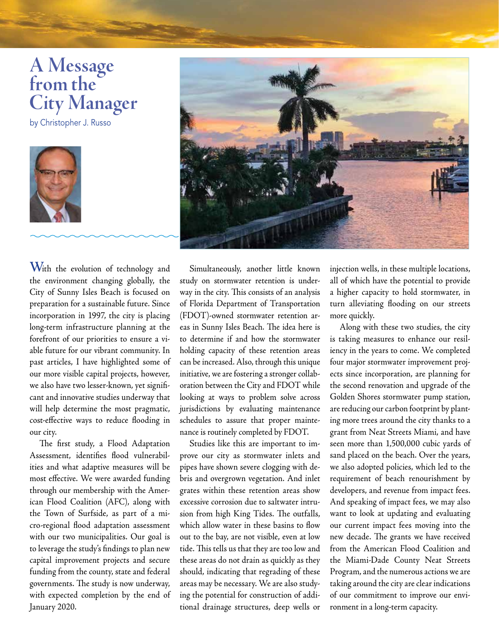# **A Message from the City Manager**

by Christopher J. Russo



**W**ith the evolution of technology and the environment changing globally, the City of Sunny Isles Beach is focused on preparation for a sustainable future. Since incorporation in 1997, the city is placing long-term infrastructure planning at the forefront of our priorities to ensure a viable future for our vibrant community. In past articles, I have highlighted some of our more visible capital projects, however, we also have two lesser-known, yet signifcant and innovative studies underway that will help determine the most pragmatic, cost-efective ways to reduce fooding in our city.

The first study, a Flood Adaptation Assessment, identifies flood vulnerabilities and what adaptive measures will be most efective. We were awarded funding through our membership with the American Flood Coalition (AFC), along with the Town of Surfside, as part of a micro-regional food adaptation assessment with our two municipalities. Our goal is to leverage the study's fndings to plan new capital improvement projects and secure funding from the county, state and federal governments. The study is now underway, with expected completion by the end of January 2020.



Simultaneously, another little known study on stormwater retention is underway in the city. This consists of an analysis of Florida Department of Transportation (FDOT)-owned stormwater retention areas in Sunny Isles Beach. The idea here is to determine if and how the stormwater holding capacity of these retention areas can be increased. Also, through this unique initiative, we are fostering a stronger collaboration between the City and FDOT while looking at ways to problem solve across jurisdictions by evaluating maintenance schedules to assure that proper maintenance is routinely completed by FDOT.

Studies like this are important to improve our city as stormwater inlets and pipes have shown severe clogging with debris and overgrown vegetation. And inlet grates within these retention areas show excessive corrosion due to saltwater intrusion from high King Tides. The outfalls, which allow water in these basins to flow out to the bay, are not visible, even at low tide. This tells us that they are too low and these areas do not drain as quickly as they should, indicating that regrading of these areas may be necessary. We are also studying the potential for construction of additional drainage structures, deep wells or

more quickly. injection wells, in these multiple locations, all of which have the potential to provide a higher capacity to hold stormwater, in turn alleviating fooding on our streets

Along with these two studies, the city is taking measures to enhance our resiliency in the years to come. We completed four major stormwater improvement projects since incorporation, are planning for the second renovation and upgrade of the Golden Shores stormwater pump station, are reducing our carbon footprint by planting more trees around the city thanks to a grant from Neat Streets Miami, and have seen more than 1,500,000 cubic yards of sand placed on the beach. Over the years, we also adopted policies, which led to the requirement of beach renourishment by developers, and revenue from impact fees. And speaking of impact fees, we may also want to look at updating and evaluating our current impact fees moving into the new decade. The grants we have received from the American Flood Coalition and the Miami-Dade County Neat Streets Program, and the numerous actions we are taking around the city are clear indications of our commitment to improve our environment in a long-term capacity.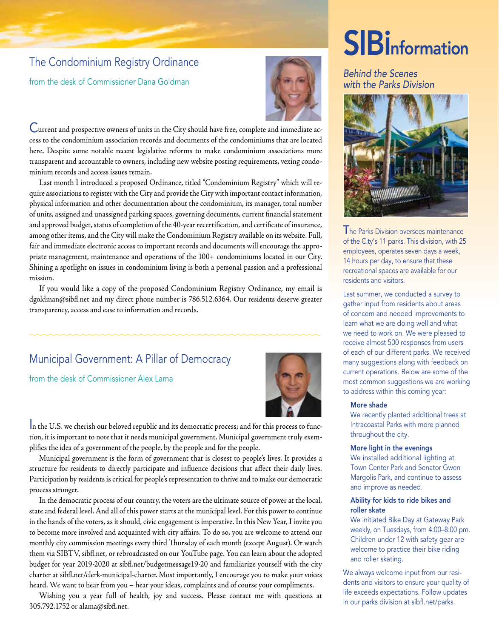### The Condominium Registry Ordinance

from the desk of Commissioner Dana Goldman



Current and prospective owners of units in the City should have free, complete and immediate access to the condominium association records and documents of the condominiums that are located here. Despite some notable recent legislative reforms to make condominium associations more transparent and accountable to owners, including new website posting requirements, vexing condominium records and access issues remain.

Last month I introduced a proposed Ordinance, titled "Condominium Registry" which will require associations to register with the City and provide the City with important contact information, physical information and other documentation about the condominium, its manager, total number of units, assigned and unassigned parking spaces, governing documents, current fnancial statement and approved budget, status of completion of the 40-year recertifcation, and certifcate of insurance, among other items, and the City will make the Condominium Registry available on its website. Full, fair and immediate electronic access to important records and documents will encourage the appropriate management, maintenance and operations of the 100+ condominiums located in our City. Shining a spotlight on issues in condominium living is both a personal passion and a professional mission.

If you would like a copy of the proposed Condominium Registry Ordinance, my email is dgoldman@sibf.net and my direct phone number is 786.512.6364. Our residents deserve greater transparency, access and ease to information and records.

### Municipal Government: A Pillar of Democracy

from the desk of Commissioner Alex Lama



In the U.S. we cherish our beloved republic and its democratic process; and for this process to function, it is important to note that it needs municipal government. Municipal government truly exemplifes the idea of a government of the people, by the people and for the people.

Municipal government is the form of government that is closest to people's lives. It provides a structure for residents to directly participate and infuence decisions that afect their daily lives. Participation by residents is critical for people's representation to thrive and to make our democratic process stronger.

In the democratic process of our country, the voters are the ultimate source of power at the local, state and federal level. And all of this power starts at the municipal level. For this power to continue in the hands of the voters, as it should, civic engagement is imperative. In this New Year, I invite you to become more involved and acquainted with city afairs. To do so, you are welcome to attend our monthly city commission meetings every third Thursday of each month (except August). Or watch them via SIBTV, sibf.net, or rebroadcasted on our YouTube page. You can learn about the adopted budget for year 2019-2020 at sibf.net/budgetmessage19-20 and familiarize yourself with the city charter at sibf.net/clerk-municipal-charter. Most importantly, I encourage you to make your voices heard. We want to hear from you – hear your ideas, complaints and of course your compliments.

Wishing you a year full of health, joy and success. Please contact me with questions at 305.792.1752 or alama@sibf.net.

# **SIB** Information

### Behind the Scenes with the Parks Division



The Parks Division oversees maintenance of the City's 11 parks. This division, with 25 employees, operates seven days a week, 14 hours per day, to ensure that these recreational spaces are available for our residents and visitors.

Last summer, we conducted a survey to gather input from residents about areas of concern and needed improvements to learn what we are doing well and what we need to work on. We were pleased to receive almost 500 responses from users of each of our different parks. We received many suggestions along with feedback on current operations. Below are some of the most common suggestions we are working to address within this coming year:

### More shade

We recently planted additional trees at Intracoastal Parks with more planned throughout the city.

#### More light in the evenings

We installed additional lighting at Town Center Park and Senator Gwen Margolis Park, and continue to assess and improve as needed.

### Ability for kids to ride bikes and roller skate

We initiated Bike Day at Gateway Park weekly, on Tuesdays, from 4:00–8:00 pm. Children under 12 with safety gear are welcome to practice their bike riding and roller skating.

We always welcome input from our residents and visitors to ensure your quality of life exceeds expectations. Follow updates in our parks division at sibfl.net/parks.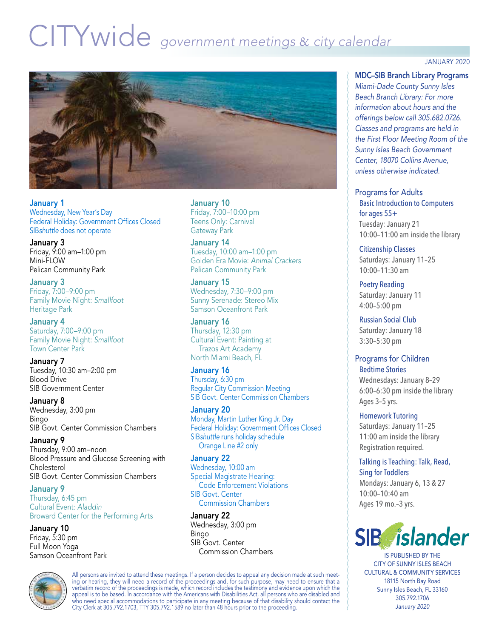# CITYwide government meetings & city calendar



January 1 Wednesday, New Year's Day Federal Holiday: Government Offices Closed SIBshuttle does not operate

January 3 Friday, 9:00 am–1:00 pm Mini-FLOW Pelican Community Park

January 3 Friday, 7:00–9:00 pm Family Movie Night: Smallfoot Heritage Park

January 4 Saturday, 7:00–9:00 pm Family Movie Night: Smallfoot Town Center Park

January 7 Tuesday, 10:30 am–2:00 pm Blood Drive SIB Government Center

January 8 Wednesday, 3:00 pm Bingo SIB Govt. Center Commission Chambers

January 9 Thursday, 9:00 am–noon Blood Pressure and Glucose Screening with Cholesterol SIB Govt. Center Commission Chambers

January 9 Thursday, 6:45 pm Cultural Event: Aladdin Broward Center for the Performing Arts

January 10 Friday, 5:30 pm Full Moon Yoga Samson Oceanfront Park January 10 Friday, 7:00–10:00 pm Teens Only: Carnival Gateway Park

January 14 Tuesday, 10:00 am–1:00 pm Golden Era Movie: Animal Crackers Pelican Community Park

January 15 Wednesday, 7:30–9:00 pm Sunny Serenade: Stereo Mix Samson Oceanfront Park

January 16 Thursday, 12:30 pm Cultural Event: Painting at Trazos Art Academy North Miami Beach, FL

January 16 Thursday, 6:30 pm Regular City Commission Meeting SIB Govt. Center Commission Chambers

January 20 Monday, Martin Luther King Jr. Day Federal Holiday: Government Offices Closed SIBshuttle runs holiday schedule Orange Line #2 only

January 22 Wednesday, 10:00 am Special Magistrate Hearing: Code Enforcement Violations SIB Govt. Center Commission Chambers

January 22 Wednesday, 3:00 pm Bingo SIB Govt. Center Commission Chambers

All persons are invited to attend these meetings. If a person decides to appeal any decision made at such meeting or hearing, they will need a record of the proceedings and, for such purpose, may need to ensure that a verbatim record of the proceedings is made, which record includes the testimony and evidence upon which the appeal is to be based. In accordance with the Americans with Disabilities Act, all persons who are disabled and who need special accommodations to participate in any meeting because of that disability should contact the City Clerk at 305.792.1703, TTY 305.792.1589 no later than 48 hours prior to the proceeding.

JANUARY 2020

MDC–SIB Branch Library Programs *Miami-Dade County Sunny Isles Beach Branch Library: For more information about hours and the offerings below call 305.682.0726. Classes and programs are held in the First Floor Meeting Room of the Sunny Isles Beach Government Center, 18070 Collins Avenue, unless otherwise indicated.* 

Programs for Adults Basic Introduction to Computers for ages 55+ Tuesday: January 21 10:00–11:00 am inside the library

Citizenship Classes Saturdays: January 11–25 10:00–11:30 am

Poetry Reading Saturday: January 11 4:00–5:00 pm

Russian Social Club Saturday: January 18 3:30–5:30 pm

Programs for Children

Bedtime Stories Wednesdays: January 8–29 6:00–6:30 pm inside the library Ages 3–5 yrs.

Homework Tutoring Saturdays: January 11–25 11:00 am inside the library Registration required.

Talking is Teaching: Talk, Read, Sing for Toddlers Mondays: January 6, 13 & 27 10:00–10:40 am Ages 19 mo.–3 yrs.



IS PUBLISHED BY THE CITY OF SUNNY ISLES BEACH CULTURAL & COMMUNITY SERVICES 18115 North Bay Road Sunny Isles Beach, FL 33160 305.792.1706 *January 2020*